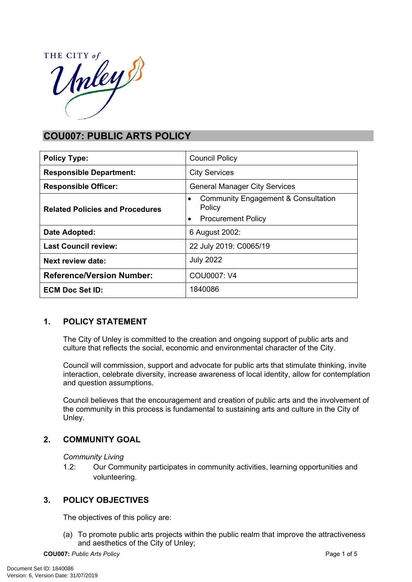The CITY of THE CITY o

# **COU007: PUBLIC ARTS POLICY**

| <b>Policy Type:</b>                    | <b>Council Policy</b>                                    |  |
|----------------------------------------|----------------------------------------------------------|--|
| <b>Responsible Department:</b>         | <b>City Services</b>                                     |  |
| <b>Responsible Officer:</b>            | <b>General Manager City Services</b>                     |  |
| <b>Related Policies and Procedures</b> | <b>Community Engagement &amp; Consultation</b><br>Policy |  |
|                                        | <b>Procurement Policy</b>                                |  |
| Date Adopted:                          | 6 August 2002:                                           |  |
| <b>Last Council review:</b>            | 22 July 2019: C0065/19                                   |  |
| <b>Next review date:</b>               | <b>July 2022</b>                                         |  |
| <b>Reference/Version Number:</b>       | COU0007: V4                                              |  |
| <b>ECM Doc Set ID:</b>                 | 1840086                                                  |  |

## **1. POLICY STATEMENT**

The City of Unley is committed to the creation and ongoing support of public arts and culture that reflects the social, economic and environmental character of the City.

Council will commission, support and advocate for public arts that stimulate thinking, invite interaction, celebrate diversity, increase awareness of local identity, allow for contemplation and question assumptions.

Council believes that the encouragement and creation of public arts and the involvement of the community in this process is fundamental to sustaining arts and culture in the City of Unley.

## **2. COMMUNITY GOAL**

*Community Living*

1.2: Our Community participates in community activities, learning opportunities and volunteering.

## **3. POLICY OBJECTIVES**

The objectives of this policy are:

(a) To promote public arts projects within the public realm that improve the attractiveness and aesthetics of the City of Unley;

**COU007:** *Public Arts Policy* Page 1 of 5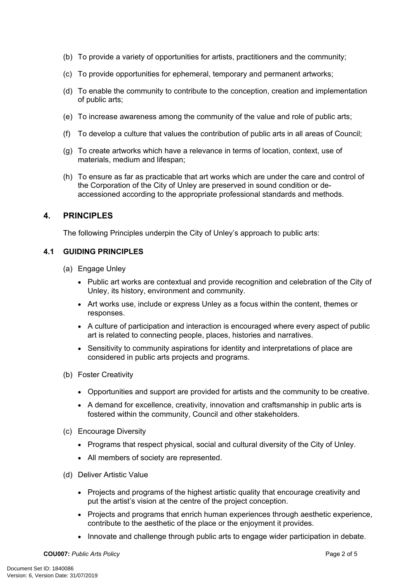- (b) To provide a variety of opportunities for artists, practitioners and the community;
- (c) To provide opportunities for ephemeral, temporary and permanent artworks;
- (d) To enable the community to contribute to the conception, creation and implementation of public arts;
- (e) To increase awareness among the community of the value and role of public arts;
- (f) To develop a culture that values the contribution of public arts in all areas of Council;
- (g) To create artworks which have a relevance in terms of location, context, use of materials, medium and lifespan;
- (h) To ensure as far as practicable that art works which are under the care and control of the Corporation of the City of Unley are preserved in sound condition or deaccessioned according to the appropriate professional standards and methods.

#### **4. PRINCIPLES**

The following Principles underpin the City of Unley's approach to public arts:

#### **4.1 GUIDING PRINCIPLES**

- (a) Engage Unley
	- Public art works are contextual and provide recognition and celebration of the City of Unley, its history, environment and community.
	- Art works use, include or express Unley as a focus within the content, themes or responses.
	- A culture of participation and interaction is encouraged where every aspect of public art is related to connecting people, places, histories and narratives.
	- Sensitivity to community aspirations for identity and interpretations of place are considered in public arts projects and programs.
- (b) Foster Creativity
	- Opportunities and support are provided for artists and the community to be creative.
	- A demand for excellence, creativity, innovation and craftsmanship in public arts is fostered within the community, Council and other stakeholders.
- (c) Encourage Diversity
	- Programs that respect physical, social and cultural diversity of the City of Unley.
	- All members of society are represented.
- (d) Deliver Artistic Value
	- Projects and programs of the highest artistic quality that encourage creativity and put the artist's vision at the centre of the project conception.
	- Projects and programs that enrich human experiences through aesthetic experience, contribute to the aesthetic of the place or the enjoyment it provides.
	- Innovate and challenge through public arts to engage wider participation in debate.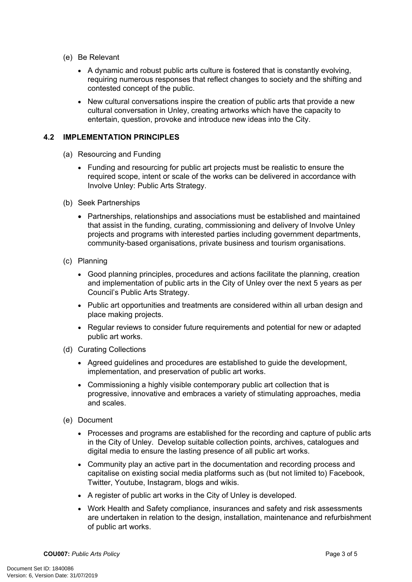- (e) Be Relevant
	- A dynamic and robust public arts culture is fostered that is constantly evolving, requiring numerous responses that reflect changes to society and the shifting and contested concept of the public.
	- New cultural conversations inspire the creation of public arts that provide a new cultural conversation in Unley, creating artworks which have the capacity to entertain, question, provoke and introduce new ideas into the City.

#### **4.2 IMPLEMENTATION PRINCIPLES**

- (a) Resourcing and Funding
	- Funding and resourcing for public art projects must be realistic to ensure the required scope, intent or scale of the works can be delivered in accordance with Involve Unley: Public Arts Strategy.
- (b) Seek Partnerships
	- Partnerships, relationships and associations must be established and maintained that assist in the funding, curating, commissioning and delivery of Involve Unley projects and programs with interested parties including government departments, community-based organisations, private business and tourism organisations.
- (c) Planning
	- Good planning principles, procedures and actions facilitate the planning, creation and implementation of public arts in the City of Unley over the next 5 years as per Council's Public Arts Strategy.
	- Public art opportunities and treatments are considered within all urban design and place making projects.
	- Regular reviews to consider future requirements and potential for new or adapted public art works.
- (d) Curating Collections
	- Agreed guidelines and procedures are established to guide the development, implementation, and preservation of public art works.
	- Commissioning a highly visible contemporary public art collection that is progressive, innovative and embraces a variety of stimulating approaches, media and scales.
- (e) Document
	- Processes and programs are established for the recording and capture of public arts in the City of Unley. Develop suitable collection points, archives, catalogues and digital media to ensure the lasting presence of all public art works.
	- Community play an active part in the documentation and recording process and capitalise on existing social media platforms such as (but not limited to) Facebook, Twitter, Youtube, Instagram, blogs and wikis.
	- A register of public art works in the City of Unley is developed.
	- Work Health and Safety compliance, insurances and safety and risk assessments are undertaken in relation to the design, installation, maintenance and refurbishment of public art works.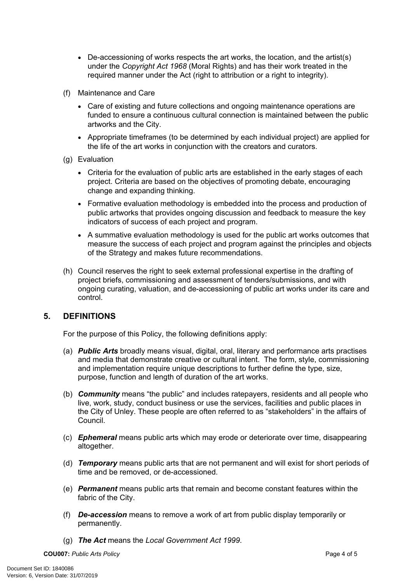- De-accessioning of works respects the art works, the location, and the artist(s) under the *Copyright Act 1968* (Moral Rights) and has their work treated in the required manner under the Act (right to attribution or a right to integrity).
- (f) Maintenance and Care
	- Care of existing and future collections and ongoing maintenance operations are funded to ensure a continuous cultural connection is maintained between the public artworks and the City.
	- Appropriate timeframes (to be determined by each individual project) are applied for the life of the art works in conjunction with the creators and curators.
- (g) Evaluation
	- Criteria for the evaluation of public arts are established in the early stages of each project. Criteria are based on the objectives of promoting debate, encouraging change and expanding thinking.
	- Formative evaluation methodology is embedded into the process and production of public artworks that provides ongoing discussion and feedback to measure the key indicators of success of each project and program.
	- A summative evaluation methodology is used for the public art works outcomes that measure the success of each project and program against the principles and objects of the Strategy and makes future recommendations.
- (h) Council reserves the right to seek external professional expertise in the drafting of project briefs, commissioning and assessment of tenders/submissions, and with ongoing curating, valuation, and de-accessioning of public art works under its care and control.

## **5. DEFINITIONS**

For the purpose of this Policy, the following definitions apply:

- (a) *Public Arts* broadly means visual, digital, oral, literary and performance arts practises and media that demonstrate creative or cultural intent. The form, style, commissioning and implementation require unique descriptions to further define the type, size, purpose, function and length of duration of the art works.
- (b) *Community* means "the public" and includes ratepayers, residents and all people who live, work, study, conduct business or use the services, facilities and public places in the City of Unley. These people are often referred to as "stakeholders" in the affairs of Council.
- (c) *Ephemeral* means public arts which may erode or deteriorate over time, disappearing altogether.
- (d) *Temporary* means public arts that are not permanent and will exist for short periods of time and be removed, or de-accessioned.
- (e) *Permanent* means public arts that remain and become constant features within the fabric of the City.
- (f) *De-accession* means to remove a work of art from public display temporarily or permanently.
- (g) *The Act* means the *Local Government Act 1999*.

**COU007:** *Public Arts Policy* Page 4 of 5